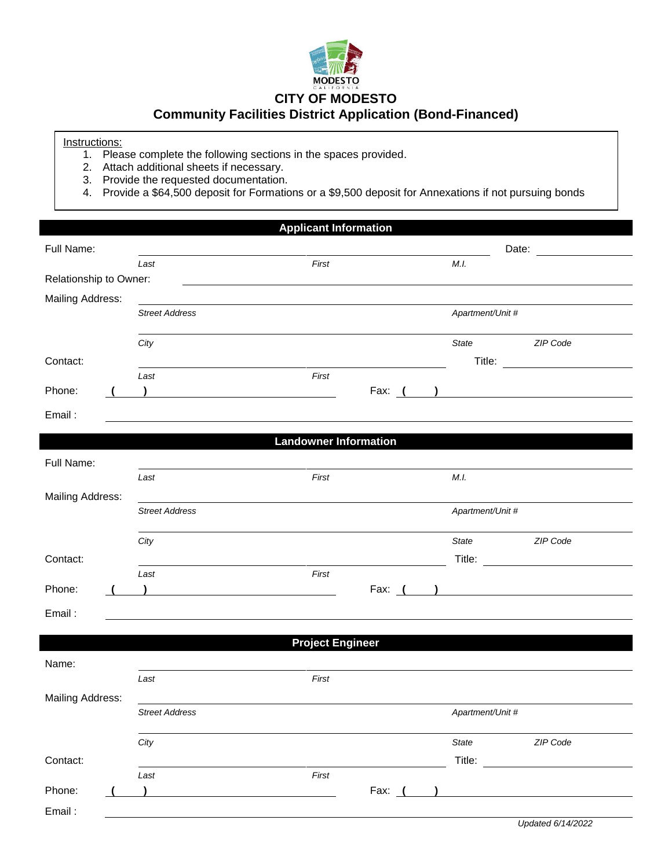

## **CITY OF MODESTO**

## **Community Facilities District Application (Bond-Financed)**

Instructions:

- 1. Please complete the following sections in the spaces provided.
- 2. Attach additional sheets if necessary.
- 3. Provide the requested documentation.
- 4. Provide a \$64,500 deposit for Formations or a \$9,500 deposit for Annexations if not pursuing bonds

|                         |                                                     | <b>Applicant Information</b>                                                                                                  |          |                  |                                                |
|-------------------------|-----------------------------------------------------|-------------------------------------------------------------------------------------------------------------------------------|----------|------------------|------------------------------------------------|
| Full Name:              |                                                     |                                                                                                                               |          |                  | Date: <u>_________</u>                         |
|                         | Last                                                | First                                                                                                                         |          | M.I.             |                                                |
| Relationship to Owner:  |                                                     |                                                                                                                               |          |                  |                                                |
| Mailing Address:        |                                                     |                                                                                                                               |          |                  |                                                |
|                         | <b>Street Address</b>                               |                                                                                                                               |          | Apartment/Unit # |                                                |
|                         | City                                                |                                                                                                                               |          | State            | ZIP Code                                       |
| Contact:                |                                                     |                                                                                                                               |          |                  | Title: <u>________________________________</u> |
|                         | Last                                                | First                                                                                                                         |          |                  |                                                |
| Phone:                  | ) and the contract of the contract of $\mathcal{L}$ |                                                                                                                               |          |                  | Fax: ( <u>)</u>                                |
| Email:                  |                                                     |                                                                                                                               |          |                  |                                                |
|                         |                                                     | <b>Landowner Information</b>                                                                                                  |          |                  |                                                |
|                         |                                                     |                                                                                                                               |          |                  |                                                |
| Full Name:              | Last                                                | First                                                                                                                         |          | M.I.             |                                                |
| <b>Mailing Address:</b> |                                                     |                                                                                                                               |          |                  |                                                |
|                         | <b>Street Address</b>                               |                                                                                                                               |          | Apartment/Unit # |                                                |
|                         |                                                     |                                                                                                                               |          |                  |                                                |
|                         | City                                                |                                                                                                                               |          | State            | ZIP Code                                       |
| Contact:                |                                                     | <u> 1980 - Johann Barbara, martin amerikan basar dan berasal dalam basa dalam basar dalam basar dalam basar dala</u><br>First |          |                  |                                                |
| Phone:                  | Last                                                |                                                                                                                               |          |                  | Fax: $($ )                                     |
|                         |                                                     |                                                                                                                               |          |                  |                                                |
| Email:                  |                                                     |                                                                                                                               |          |                  |                                                |
|                         |                                                     | <b>Project Engineer</b>                                                                                                       |          |                  |                                                |
| Name:                   |                                                     |                                                                                                                               |          |                  |                                                |
|                         | Last                                                | First                                                                                                                         |          |                  |                                                |
| <b>Mailing Address:</b> |                                                     |                                                                                                                               |          |                  |                                                |
|                         | <b>Street Address</b>                               |                                                                                                                               |          | Apartment/Unit # |                                                |
|                         | City                                                |                                                                                                                               |          | State            | ZIP Code                                       |
| Contact:                |                                                     |                                                                                                                               |          | Title:           |                                                |
|                         | Last                                                | First                                                                                                                         |          |                  |                                                |
| Phone:                  |                                                     |                                                                                                                               | Fax: $($ |                  |                                                |
| Email:                  |                                                     |                                                                                                                               |          |                  |                                                |
|                         |                                                     |                                                                                                                               |          |                  | $H = -1$                                       |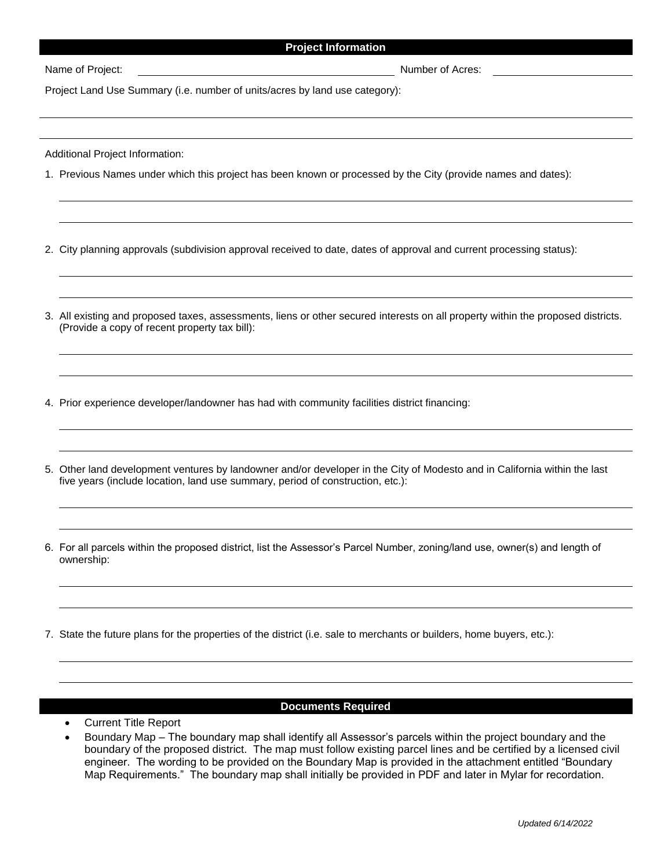## **Project Information**

Name of Project: <u>Conservation Community Conservation of Acres</u>: Number of Acres:

Project Land Use Summary (i.e. number of units/acres by land use category):

Additional Project Information:

1. Previous Names under which this project has been known or processed by the City (provide names and dates):

2. City planning approvals (subdivision approval received to date, dates of approval and current processing status):

- 3. All existing and proposed taxes, assessments, liens or other secured interests on all property within the proposed districts. (Provide a copy of recent property tax bill):
- 4. Prior experience developer/landowner has had with community facilities district financing:
- 5. Other land development ventures by landowner and/or developer in the City of Modesto and in California within the last five years (include location, land use summary, period of construction, etc.):
- 6. For all parcels within the proposed district, list the Assessor's Parcel Number, zoning/land use, owner(s) and length of ownership:
- 7. State the future plans for the properties of the district (i.e. sale to merchants or builders, home buyers, etc.):

## **Documents Required**

- Current Title Report
- Boundary Map The boundary map shall identify all Assessor's parcels within the project boundary and the boundary of the proposed district. The map must follow existing parcel lines and be certified by a licensed civil engineer. The wording to be provided on the Boundary Map is provided in the attachment entitled "Boundary Map Requirements." The boundary map shall initially be provided in PDF and later in Mylar for recordation.